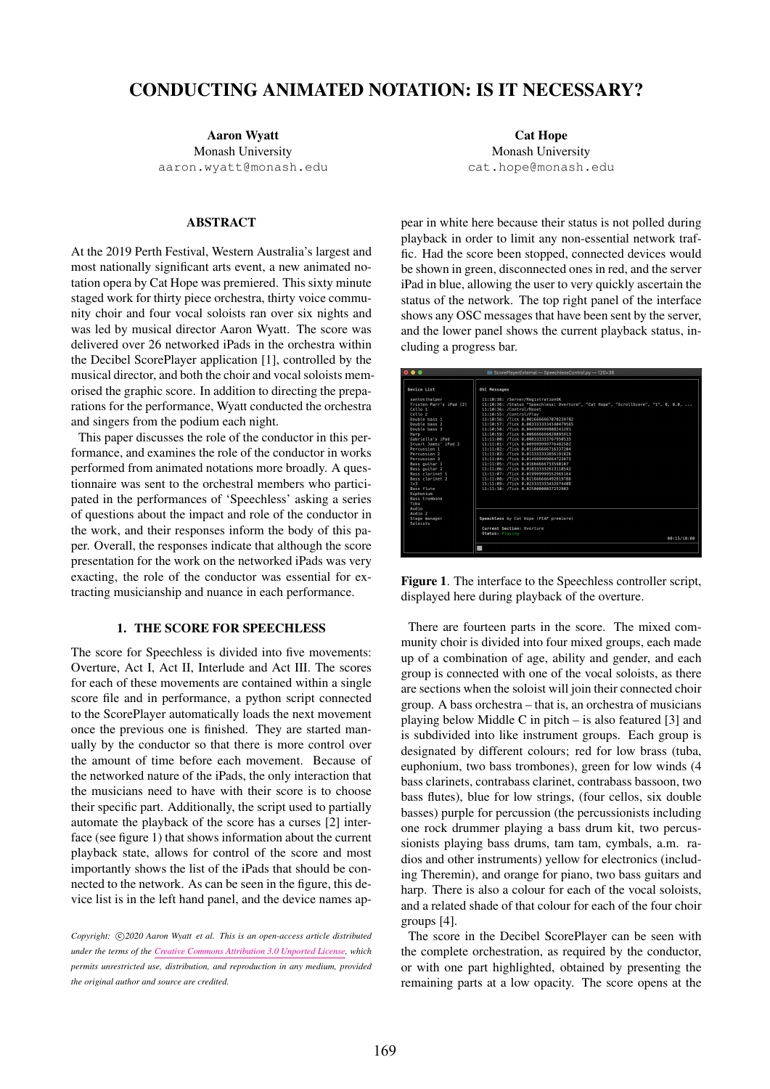# CONDUCTING ANIMATED NOTATION: IS IT NECESSARY?

Aaron Wyatt Monash University [aaron.wyatt@monash.edu](mailto:aaron.wyatt@monash.edu)

#### **ABSTRACT**

At the 2019 Perth Festival, Western Australia's largest and most nationally significant arts event, a new animated notation opera by Cat Hope was premiered. This sixty minute staged work for thirty piece orchestra, thirty voice community choir and four vocal soloists ran over six nights and was led by musical director Aaron Wyatt. The score was delivered over 26 networked iPads in the orchestra within the Decibel ScorePlayer application [1], controlled by the musical director, and both the choir and vocal soloists memorised the graphic score. In addition to directing the preparations for the performance, Wyatt conducted the orchestra and singers from the podium each night.

This paper discusses the role of the conductor in this performance, and examines the role of the conductor in works performed from animated notations more broadly. A questionnaire was sent to the orchestral members who participated in the performances of 'Speechless' asking a series of questions about the impact and role of the conductor in the work, and their responses inform the body of this paper. Overall, the responses indicate that although the score presentation for the work on the networked iPads was very exacting, the role of the conductor was essential for extracting musicianship and nuance in each performance.

#### 1. THE SCORE FOR SPEECHLESS

The score for Speechless is divided into five movements: Overture, Act I, Act II, Interlude and Act III. The scores for each of these movements are contained within a single score file and in performance, a python script connected to the ScorePlayer automatically loads the next movement once the previous one is finished. They are started manually by the conductor so that there is more control over the amount of time before each movement. Because of the networked nature of the iPads, the only interaction that the musicians need to have with their score is to choose their specific part. Additionally, the script used to partially automate the playback of the score has a curses [2] interface (see figure 1) that shows information about the current playback state, allows for control of the score and most importantly shows the list of the iPads that should be connected to the network. As can be seen in the figure, this device list is in the left hand panel, and the device names ap-

Cat Hope Monash University [cat.hope@monash.edu](mailto:cat.hope@monash.edu)

pear in white here because their status is not polled during playback in order to limit any non-essential network traffic. Had the score been stopped, connected devices would be shown in green, disconnected ones in red, and the server iPad in blue, allowing the user to very quickly ascertain the status of the network. The top right panel of the interface shows any OSC messages that have been sent by the server, and the lower panel shows the current playback status, including a progress bar.

| 0.0.0                                | ScorePlayerExternal - SpeechlessControl.pv - 120×36                               |
|--------------------------------------|-----------------------------------------------------------------------------------|
| Device List                          | <b>OSC Messages</b>                                                               |
| santoslhalper                        | 11:10:36: /Server/RegistrationOK                                                  |
| Tristen Parr's iPad (2)              | 11:10:36: /Status "Speechless: Overture", "Cat Hope", "ScrollScore", "1", 0, 0.0, |
| Cello 1                              | 11:10:36: /Control/Reset                                                          |
| Cell10.2                             | 11:10:55: /Control/Play                                                           |
| Double bass 1                        | 11:10:56: /Tick 0.0016666667070239782                                             |
| Double bass 2                        | 11:10:57: /Tick 0.0033333334140479565                                             |
| Double bass 3                        | 11:10:58: /Tick 0.004999999888241291                                              |
| Harp                                 | 11:10:59: /Tick 0.006666666828095913                                              |
| Gabriella's iPad                     | 11:11:00: /Tick 0.008333333767950535                                              |
| Stuart James' iPad 2<br>Percussion 1 | 11:11:01: /Tick 0.009999999776482582<br>11:11:02: /Tick 0.011666666716337204      |
| Percussion 2                         | 11:11:03: /Tick 0.013333333656191826                                              |
| Percussion 3                         | 11:11:04: /Tick 0.014999999664723873                                              |
| Bass quitar 1                        | 11:11:05: /Tick 0.01666666753590107                                               |
| Bass quitar 2                        | 11:11:06: /Tick 0.018333332613110542                                              |
| Bass clarinet 1                      | 11:11:07: /Tick 0.019999999552965164                                              |
| Bass clarinet 2                      | 11:11:08: /Tick 0.021666666492819786                                              |
| 1v3                                  | 11:11:09: /Tick 0.023333333432674408                                              |
| Bass flute                           | 11:11:10: /Tick 0.02500000037252903                                               |
| Euphonium                            |                                                                                   |
| <b>Bass trombone</b>                 |                                                                                   |
| Tuba                                 |                                                                                   |
| Audio                                |                                                                                   |
| Audio <sub>2</sub>                   |                                                                                   |
| Stage manager                        | Speechless by Cat Hope (PIAF premiere)                                            |
| Soloists                             |                                                                                   |
|                                      | Current Section: Overture                                                         |
|                                      | Status Plaving                                                                    |
|                                      | 00:15/10:00                                                                       |
|                                      | ۰                                                                                 |
|                                      |                                                                                   |

Figure 1. The interface to the Speechless controller script, displayed here during playback of the overture.

There are fourteen parts in the score. The mixed community choir is divided into four mixed groups, each made up of a combination of age, ability and gender, and each group is connected with one of the vocal soloists, as there are sections when the soloist will join their connected choir group. A bass orchestra – that is, an orchestra of musicians playing below Middle C in pitch – is also featured [3] and is subdivided into like instrument groups. Each group is designated by different colours; red for low brass (tuba, euphonium, two bass trombones), green for low winds (4 bass clarinets, contrabass clarinet, contrabass bassoon, two bass flutes), blue for low strings, (four cellos, six double basses) purple for percussion (the percussionists including one rock drummer playing a bass drum kit, two percussionists playing bass drums, tam tam, cymbals, a.m. radios and other instruments) yellow for electronics (including Theremin), and orange for piano, two bass guitars and harp. There is also a colour for each of the vocal soloists, and a related shade of that colour for each of the four choir groups [4].

The score in the Decibel ScorePlayer can be seen with the complete orchestration, as required by the conductor, or with one part highlighted, obtained by presenting the remaining parts at a low opacity. The score opens at the

Copyright:  $\bigcirc$ 2020 Aaron Wyatt et al. This is an open-access article distributed *under the terms of the [Creative Commons Attribution 3.0 Unported License,](http://creativecommons.org/licenses/by/3.0/) which permits unrestricted use, distribution, and reproduction in any medium, provided the original author and source are credited.*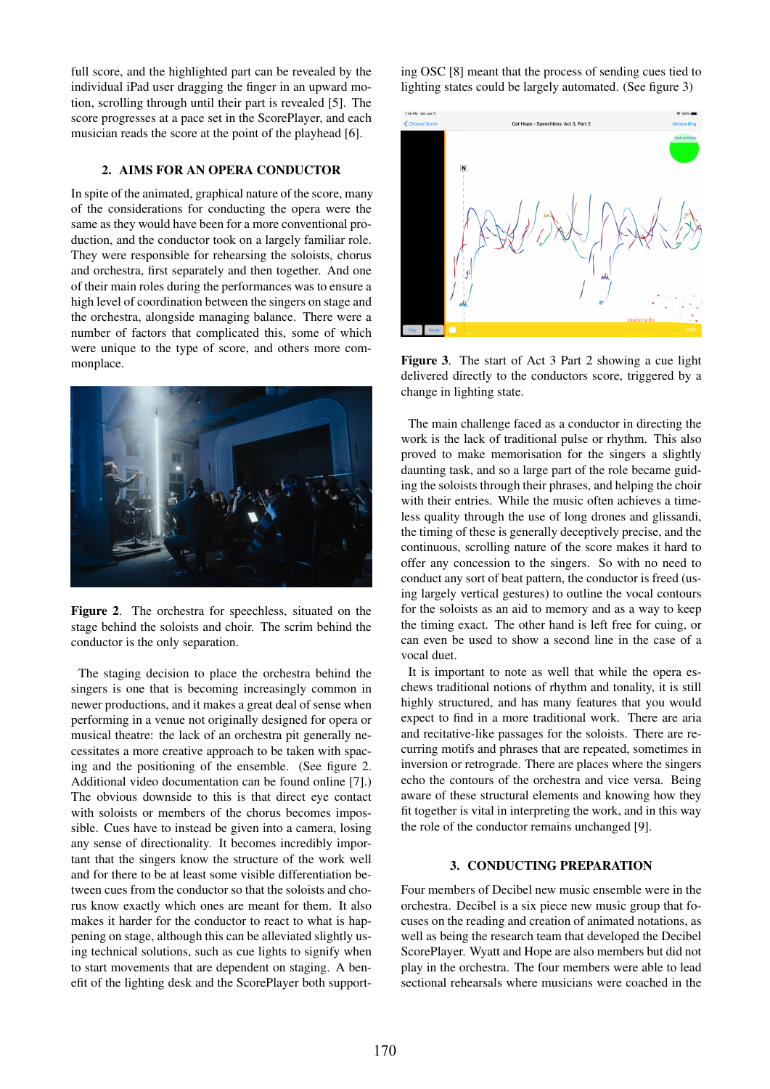full score, and the highlighted part can be revealed by the individual iPad user dragging the finger in an upward motion, scrolling through until their part is revealed [5]. The score progresses at a pace set in the ScorePlayer, and each musician reads the score at the point of the playhead [6].

## 2. AIMS FOR AN OPERA CONDUCTOR

In spite of the animated, graphical nature of the score, many of the considerations for conducting the opera were the same as they would have been for a more conventional production, and the conductor took on a largely familiar role. They were responsible for rehearsing the soloists, chorus and orchestra, first separately and then together. And one of their main roles during the performances was to ensure a high level of coordination between the singers on stage and the orchestra, alongside managing balance. There were a number of factors that complicated this, some of which were unique to the type of score, and others more commonplace.



Figure 2. The orchestra for speechless, situated on the stage behind the soloists and choir. The scrim behind the conductor is the only separation.

The staging decision to place the orchestra behind the singers is one that is becoming increasingly common in newer productions, and it makes a great deal of sense when performing in a venue not originally designed for opera or musical theatre: the lack of an orchestra pit generally necessitates a more creative approach to be taken with spacing and the positioning of the ensemble. (See figure 2. Additional video documentation can be found online [7].) The obvious downside to this is that direct eye contact with soloists or members of the chorus becomes impossible. Cues have to instead be given into a camera, losing any sense of directionality. It becomes incredibly important that the singers know the structure of the work well and for there to be at least some visible differentiation between cues from the conductor so that the soloists and chorus know exactly which ones are meant for them. It also makes it harder for the conductor to react to what is happening on stage, although this can be alleviated slightly using technical solutions, such as cue lights to signify when to start movements that are dependent on staging. A benefit of the lighting desk and the ScorePlayer both supporting OSC [8] meant that the process of sending cues tied to lighting states could be largely automated. (See figure 3)



Figure 3. The start of Act 3 Part 2 showing a cue light delivered directly to the conductors score, triggered by a change in lighting state.

The main challenge faced as a conductor in directing the work is the lack of traditional pulse or rhythm. This also proved to make memorisation for the singers a slightly daunting task, and so a large part of the role became guiding the soloists through their phrases, and helping the choir with their entries. While the music often achieves a timeless quality through the use of long drones and glissandi, the timing of these is generally deceptively precise, and the continuous, scrolling nature of the score makes it hard to offer any concession to the singers. So with no need to conduct any sort of beat pattern, the conductor is freed (using largely vertical gestures) to outline the vocal contours for the soloists as an aid to memory and as a way to keep the timing exact. The other hand is left free for cuing, or can even be used to show a second line in the case of a vocal duet.

It is important to note as well that while the opera eschews traditional notions of rhythm and tonality, it is still highly structured, and has many features that you would expect to find in a more traditional work. There are aria and recitative-like passages for the soloists. There are recurring motifs and phrases that are repeated, sometimes in inversion or retrograde. There are places where the singers echo the contours of the orchestra and vice versa. Being aware of these structural elements and knowing how they fit together is vital in interpreting the work, and in this way the role of the conductor remains unchanged [9].

#### 3. CONDUCTING PREPARATION

Four members of Decibel new music ensemble were in the orchestra. Decibel is a six piece new music group that focuses on the reading and creation of animated notations, as well as being the research team that developed the Decibel ScorePlayer. Wyatt and Hope are also members but did not play in the orchestra. The four members were able to lead sectional rehearsals where musicians were coached in the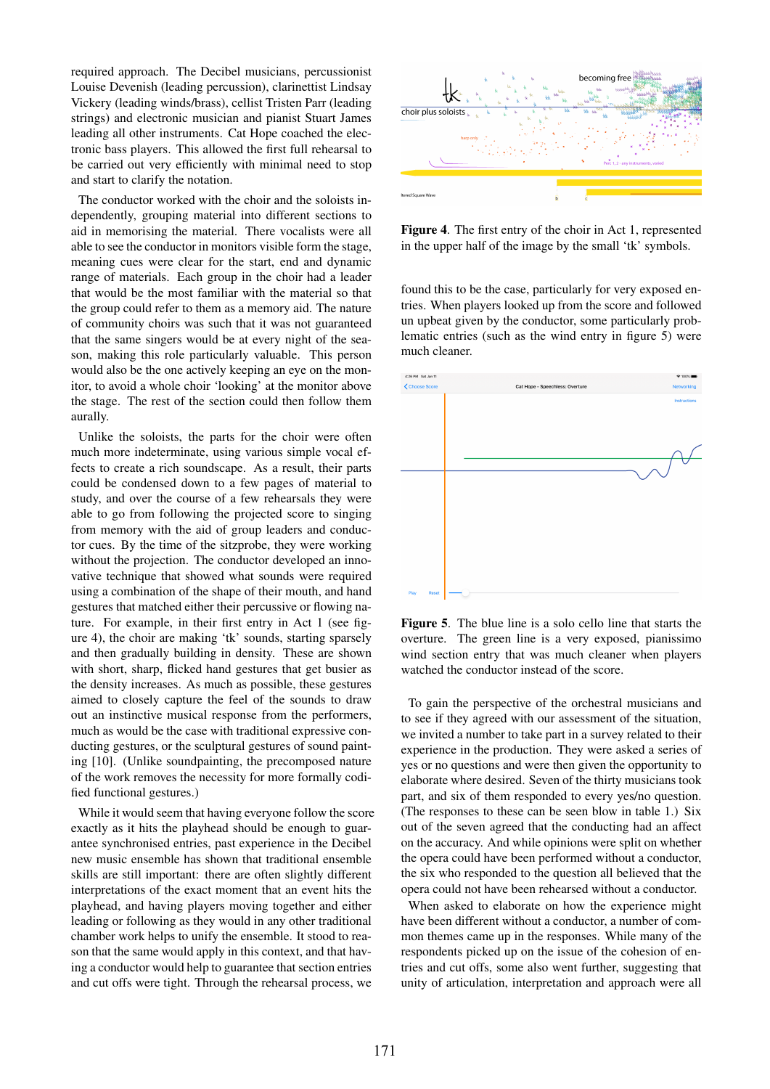required approach. The Decibel musicians, percussionist Louise Devenish (leading percussion), clarinettist Lindsay Vickery (leading winds/brass), cellist Tristen Parr (leading strings) and electronic musician and pianist Stuart James leading all other instruments. Cat Hope coached the electronic bass players. This allowed the first full rehearsal to be carried out very efficiently with minimal need to stop and start to clarify the notation.

The conductor worked with the choir and the soloists independently, grouping material into different sections to aid in memorising the material. There vocalists were all able to see the conductor in monitors visible form the stage, meaning cues were clear for the start, end and dynamic range of materials. Each group in the choir had a leader that would be the most familiar with the material so that the group could refer to them as a memory aid. The nature of community choirs was such that it was not guaranteed that the same singers would be at every night of the season, making this role particularly valuable. This person would also be the one actively keeping an eye on the monitor, to avoid a whole choir 'looking' at the monitor above the stage. The rest of the section could then follow them aurally.

Unlike the soloists, the parts for the choir were often much more indeterminate, using various simple vocal effects to create a rich soundscape. As a result, their parts could be condensed down to a few pages of material to study, and over the course of a few rehearsals they were able to go from following the projected score to singing from memory with the aid of group leaders and conductor cues. By the time of the sitzprobe, they were working without the projection. The conductor developed an innovative technique that showed what sounds were required using a combination of the shape of their mouth, and hand gestures that matched either their percussive or flowing nature. For example, in their first entry in Act 1 (see figure 4), the choir are making 'tk' sounds, starting sparsely and then gradually building in density. These are shown with short, sharp, flicked hand gestures that get busier as the density increases. As much as possible, these gestures aimed to closely capture the feel of the sounds to draw out an instinctive musical response from the performers, much as would be the case with traditional expressive conducting gestures, or the sculptural gestures of sound painting [10]. (Unlike soundpainting, the precomposed nature of the work removes the necessity for more formally codified functional gestures.)

While it would seem that having everyone follow the score exactly as it hits the playhead should be enough to guarantee synchronised entries, past experience in the Decibel new music ensemble has shown that traditional ensemble skills are still important: there are often slightly different interpretations of the exact moment that an event hits the playhead, and having players moving together and either leading or following as they would in any other traditional chamber work helps to unify the ensemble. It stood to reason that the same would apply in this context, and that having a conductor would help to guarantee that section entries and cut offs were tight. Through the rehearsal process, we



Figure 4. The first entry of the choir in Act 1, represented in the upper half of the image by the small 'tk' symbols.

found this to be the case, particularly for very exposed entries. When players looked up from the score and followed un upbeat given by the conductor, some particularly problematic entries (such as the wind entry in figure 5) were much cleaner.



Figure 5. The blue line is a solo cello line that starts the overture. The green line is a very exposed, pianissimo wind section entry that was much cleaner when players watched the conductor instead of the score.

To gain the perspective of the orchestral musicians and to see if they agreed with our assessment of the situation, we invited a number to take part in a survey related to their experience in the production. They were asked a series of yes or no questions and were then given the opportunity to elaborate where desired. Seven of the thirty musicians took part, and six of them responded to every yes/no question. (The responses to these can be seen blow in table 1.) Six out of the seven agreed that the conducting had an affect on the accuracy. And while opinions were split on whether the opera could have been performed without a conductor, the six who responded to the question all believed that the opera could not have been rehearsed without a conductor.

When asked to elaborate on how the experience might have been different without a conductor, a number of common themes came up in the responses. While many of the respondents picked up on the issue of the cohesion of entries and cut offs, some also went further, suggesting that unity of articulation, interpretation and approach were all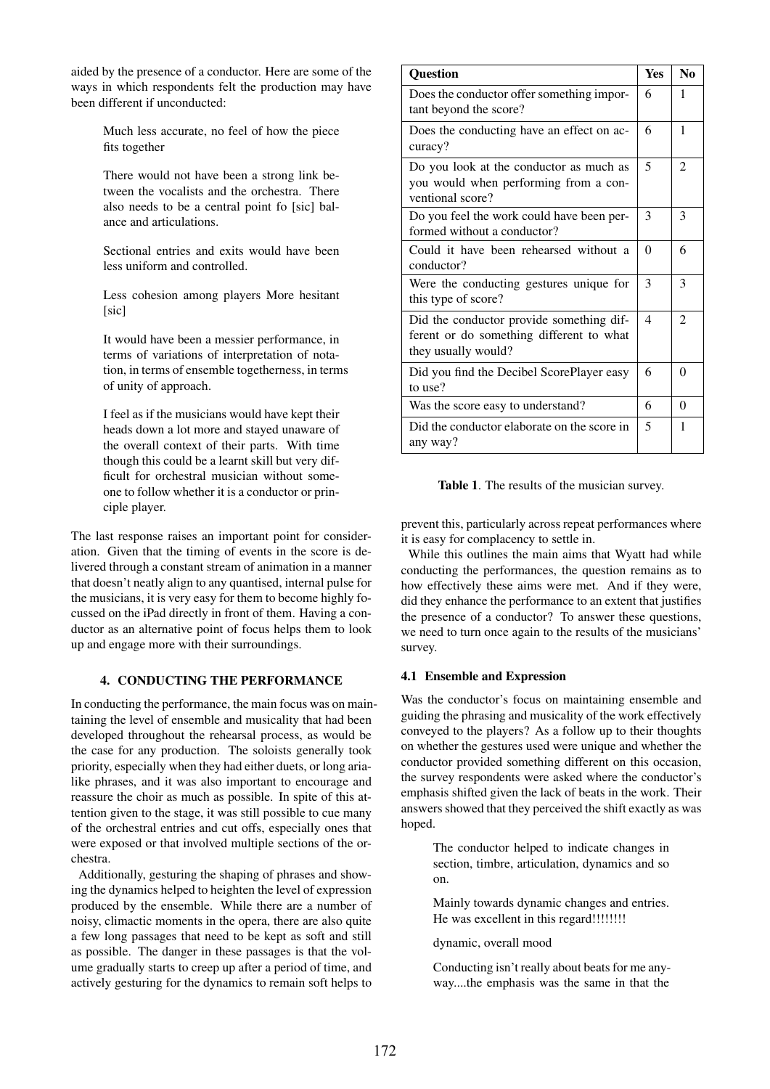aided by the presence of a conductor. Here are some of the ways in which respondents felt the production may have been different if unconducted:

> Much less accurate, no feel of how the piece fits together

> There would not have been a strong link between the vocalists and the orchestra. There also needs to be a central point fo [sic] balance and articulations.

> Sectional entries and exits would have been less uniform and controlled.

> Less cohesion among players More hesitant [sic]

It would have been a messier performance, in terms of variations of interpretation of notation, in terms of ensemble togetherness, in terms of unity of approach.

I feel as if the musicians would have kept their heads down a lot more and stayed unaware of the overall context of their parts. With time though this could be a learnt skill but very difficult for orchestral musician without someone to follow whether it is a conductor or principle player.

The last response raises an important point for consideration. Given that the timing of events in the score is delivered through a constant stream of animation in a manner that doesn't neatly align to any quantised, internal pulse for the musicians, it is very easy for them to become highly focussed on the iPad directly in front of them. Having a conductor as an alternative point of focus helps them to look up and engage more with their surroundings.

## 4. CONDUCTING THE PERFORMANCE

In conducting the performance, the main focus was on maintaining the level of ensemble and musicality that had been developed throughout the rehearsal process, as would be the case for any production. The soloists generally took priority, especially when they had either duets, or long arialike phrases, and it was also important to encourage and reassure the choir as much as possible. In spite of this attention given to the stage, it was still possible to cue many of the orchestral entries and cut offs, especially ones that were exposed or that involved multiple sections of the orchestra.

Additionally, gesturing the shaping of phrases and showing the dynamics helped to heighten the level of expression produced by the ensemble. While there are a number of noisy, climactic moments in the opera, there are also quite a few long passages that need to be kept as soft and still as possible. The danger in these passages is that the volume gradually starts to creep up after a period of time, and actively gesturing for the dynamics to remain soft helps to

| <b>Question</b>                                                                                             |  | N <sub>0</sub> |
|-------------------------------------------------------------------------------------------------------------|--|----------------|
| Does the conductor offer something impor-<br>tant beyond the score?                                         |  | 1              |
| Does the conducting have an effect on ac-<br>curacy?                                                        |  | 1              |
| Do you look at the conductor as much as<br>you would when performing from a con-<br>ventional score?        |  | $\overline{c}$ |
| Do you feel the work could have been per-<br>formed without a conductor?                                    |  | 3              |
| Could it have been rehearsed without a<br>conductor?                                                        |  | 6              |
| Were the conducting gestures unique for<br>this type of score?                                              |  | 3              |
| Did the conductor provide something dif-<br>ferent or do something different to what<br>they usually would? |  | $\mathfrak{D}$ |
| Did you find the Decibel ScorePlayer easy<br>to use?                                                        |  | $\Omega$       |
| Was the score easy to understand?                                                                           |  | $\Omega$       |
| Did the conductor elaborate on the score in<br>any way?                                                     |  | 1              |

Table 1. The results of the musician survey.

prevent this, particularly across repeat performances where it is easy for complacency to settle in.

While this outlines the main aims that Wyatt had while conducting the performances, the question remains as to how effectively these aims were met. And if they were, did they enhance the performance to an extent that justifies the presence of a conductor? To answer these questions, we need to turn once again to the results of the musicians' survey.

## 4.1 Ensemble and Expression

Was the conductor's focus on maintaining ensemble and guiding the phrasing and musicality of the work effectively conveyed to the players? As a follow up to their thoughts on whether the gestures used were unique and whether the conductor provided something different on this occasion, the survey respondents were asked where the conductor's emphasis shifted given the lack of beats in the work. Their answers showed that they perceived the shift exactly as was hoped.

> The conductor helped to indicate changes in section, timbre, articulation, dynamics and so on.

> Mainly towards dynamic changes and entries. He was excellent in this regard!!!!!!!!!

dynamic, overall mood

Conducting isn't really about beats for me anyway....the emphasis was the same in that the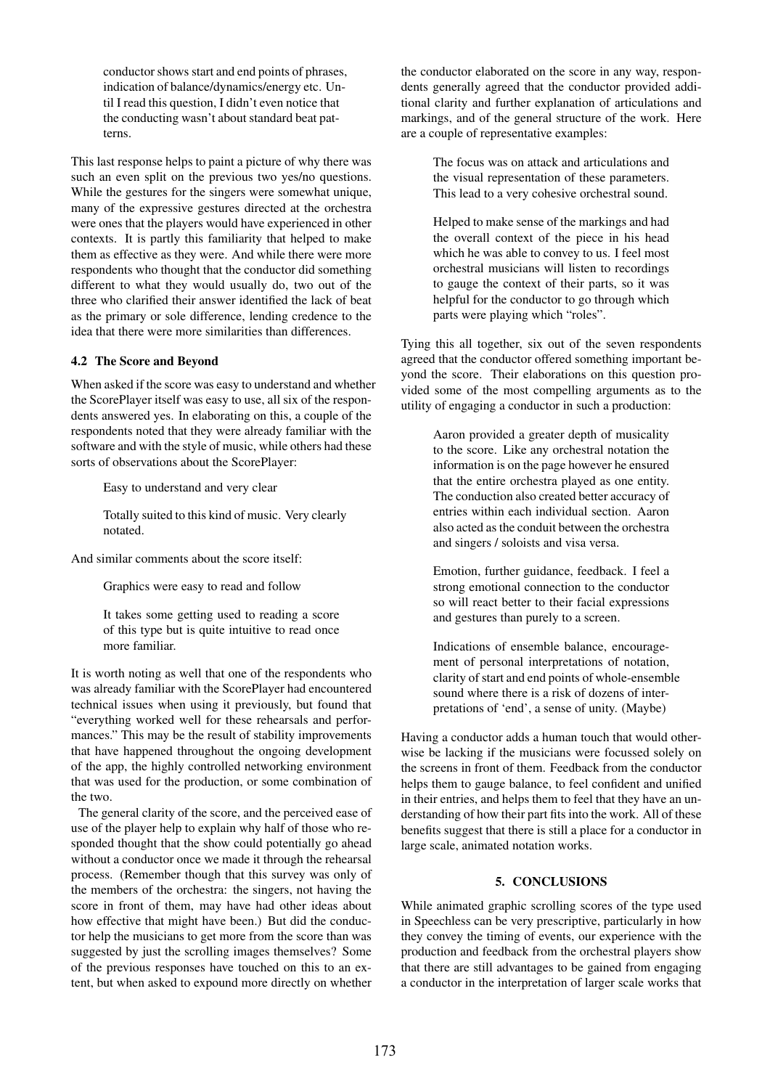conductor shows start and end points of phrases, indication of balance/dynamics/energy etc. Until I read this question, I didn't even notice that the conducting wasn't about standard beat patterns.

This last response helps to paint a picture of why there was such an even split on the previous two yes/no questions. While the gestures for the singers were somewhat unique, many of the expressive gestures directed at the orchestra were ones that the players would have experienced in other contexts. It is partly this familiarity that helped to make them as effective as they were. And while there were more respondents who thought that the conductor did something different to what they would usually do, two out of the three who clarified their answer identified the lack of beat as the primary or sole difference, lending credence to the idea that there were more similarities than differences.

## 4.2 The Score and Beyond

When asked if the score was easy to understand and whether the ScorePlayer itself was easy to use, all six of the respondents answered yes. In elaborating on this, a couple of the respondents noted that they were already familiar with the software and with the style of music, while others had these sorts of observations about the ScorePlayer:

Easy to understand and very clear

Totally suited to this kind of music. Very clearly notated.

And similar comments about the score itself:

Graphics were easy to read and follow

It takes some getting used to reading a score of this type but is quite intuitive to read once more familiar.

It is worth noting as well that one of the respondents who was already familiar with the ScorePlayer had encountered technical issues when using it previously, but found that "everything worked well for these rehearsals and performances." This may be the result of stability improvements that have happened throughout the ongoing development of the app, the highly controlled networking environment that was used for the production, or some combination of the two.

The general clarity of the score, and the perceived ease of use of the player help to explain why half of those who responded thought that the show could potentially go ahead without a conductor once we made it through the rehearsal process. (Remember though that this survey was only of the members of the orchestra: the singers, not having the score in front of them, may have had other ideas about how effective that might have been.) But did the conductor help the musicians to get more from the score than was suggested by just the scrolling images themselves? Some of the previous responses have touched on this to an extent, but when asked to expound more directly on whether

the conductor elaborated on the score in any way, respondents generally agreed that the conductor provided additional clarity and further explanation of articulations and markings, and of the general structure of the work. Here are a couple of representative examples:

> The focus was on attack and articulations and the visual representation of these parameters. This lead to a very cohesive orchestral sound.

> Helped to make sense of the markings and had the overall context of the piece in his head which he was able to convey to us. I feel most orchestral musicians will listen to recordings to gauge the context of their parts, so it was helpful for the conductor to go through which parts were playing which "roles".

Tying this all together, six out of the seven respondents agreed that the conductor offered something important beyond the score. Their elaborations on this question provided some of the most compelling arguments as to the utility of engaging a conductor in such a production:

> Aaron provided a greater depth of musicality to the score. Like any orchestral notation the information is on the page however he ensured that the entire orchestra played as one entity. The conduction also created better accuracy of entries within each individual section. Aaron also acted as the conduit between the orchestra and singers / soloists and visa versa.

> Emotion, further guidance, feedback. I feel a strong emotional connection to the conductor so will react better to their facial expressions and gestures than purely to a screen.

Indications of ensemble balance, encouragement of personal interpretations of notation, clarity of start and end points of whole-ensemble sound where there is a risk of dozens of interpretations of 'end', a sense of unity. (Maybe)

Having a conductor adds a human touch that would otherwise be lacking if the musicians were focussed solely on the screens in front of them. Feedback from the conductor helps them to gauge balance, to feel confident and unified in their entries, and helps them to feel that they have an understanding of how their part fits into the work. All of these benefits suggest that there is still a place for a conductor in large scale, animated notation works.

#### 5. CONCLUSIONS

While animated graphic scrolling scores of the type used in Speechless can be very prescriptive, particularly in how they convey the timing of events, our experience with the production and feedback from the orchestral players show that there are still advantages to be gained from engaging a conductor in the interpretation of larger scale works that